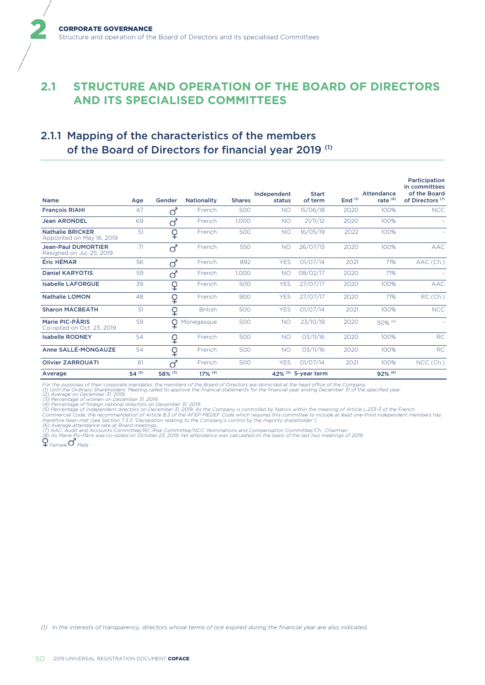# **2.1 STRUCTURE AND OPERATION OF THE BOARD OF DIRECTORS AND ITS SPECIALISED COMMITTEES**

# 2.1.1 Mapping of the characteristics of the members of the Board of Directors for financial year 2019<sup>(1)</sup>

| <b>Name</b>                                             | Age        | Gender   | <b>Nationality</b> | <b>Shares</b> | Independent<br>status | <b>Start</b><br>of term | End $(1)$ | Attendance<br>rate $(6)$ | Participation<br>in committees<br>of the Board<br>of Directors <sup>(7)</sup> |
|---------------------------------------------------------|------------|----------|--------------------|---------------|-----------------------|-------------------------|-----------|--------------------------|-------------------------------------------------------------------------------|
| <b>Francois RIAHI</b>                                   | 47         | σ        | French             | 500           | <b>NO</b>             | 15/06/18                | 2020      | 100%                     | <b>NCC</b>                                                                    |
| <b>Jean ARONDEL</b>                                     | 69         | σ        | French             | 1,000         | <b>NO</b>             | 21/11/12                | 2020      | 100%                     |                                                                               |
| <b>Nathalie BRICKER</b><br>Appointed on May 16, 2019    | 51         | ♀        | French             | 500           | <b>NO</b>             | 16/05/19                | 2022      | 100%                     |                                                                               |
| <b>Jean-Paul DUMORTIER</b><br>Resigned on Jul. 25, 2019 | 71         | σ        | French             | 550           | <b>NO</b>             | 26/07/13                | 2020      | 100%                     | <b>AAC</b>                                                                    |
| Éric HÉMAR                                              | 56         | $\sigma$ | French             | 892           | <b>YES</b>            | 01/07/14                | 2021      | 71%                      | AAC (Ch.)                                                                     |
| <b>Daniel KARYOTIS</b>                                  | 59         | $\sigma$ | French             | 1,000         | <b>NO</b>             | 08/02/17                | 2020      | 71%                      |                                                                               |
| <b>Isabelle LAFORGUE</b>                                | 39         | ♀        | French             | 500           | <b>YES</b>            | 27/07/17                | 2020      | 100%                     | <b>AAC</b>                                                                    |
| <b>Nathalie LOMON</b>                                   | 48         | ♀        | French             | 900           | <b>YES</b>            | 27/07/17                | 2020      | 71%                      | RC(Ch.)                                                                       |
| <b>Sharon MACBEATH</b>                                  | 51         | ♀        | <b>British</b>     | 500           | <b>YES</b>            | 01/07/14                | 2021      | 100%                     | <b>NCC</b>                                                                    |
| Marie PIC-PÂRIS<br>Co-opted on Oct. 23, 2019            | 59         | ♀        | Monegasque         | 500           | <b>NO</b>             | 23/10/19                | 2020      | $50\%$ <sup>(8)</sup>    |                                                                               |
| <b>Isabelle RODNEY</b>                                  | 54         | ¥        | French             | 500           | <b>NO</b>             | 03/11/16                | 2020      | 100%                     | RC                                                                            |
| Anne SALLÉ-MONGAUZE                                     | 54         | ♀        | French             | 500           | <b>NO</b>             | 03/11/16                | 2020      | 100%                     | <b>RC</b>                                                                     |
| <b>Olivier ZARROUATI</b>                                | 61         | ്        | French             | 500           | <b>YES</b>            | 01/07/14                | 2021      | 100%                     | NCC (Ch.)                                                                     |
| Average                                                 | $54^{(2)}$ | 58% (3)  | 17% (4)            |               |                       | 42% (5) 5-year term     |           | 92% (6)                  |                                                                               |

For the purposes of their corporate mandates, the members of the Board of Directors are domiciled at the head office of the Company.<br>(2) Until the Ordinary Shareholders' Meeting called to approve the financial statements f

 *Female Male*

2

*(1) In the interests of transparency, directors whose terms of oce expired during the financial year are also indicated.*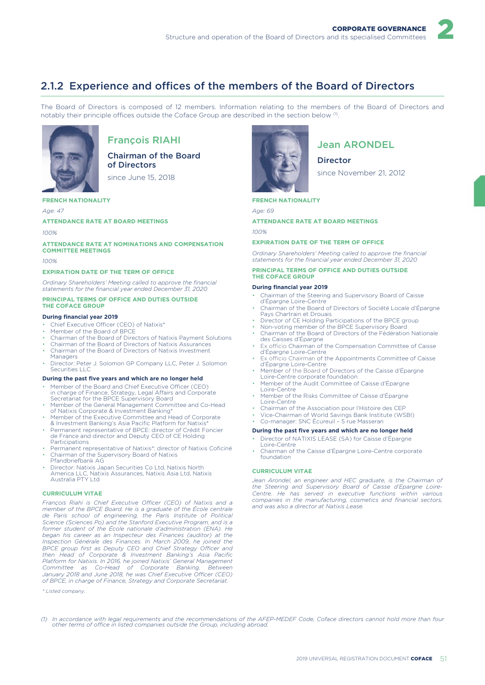# 2

# 2.1.2 Experience and offices of the members of the Board of Directors

The Board of Directors is composed of 12 members. Information relating to the members of the Board of Directors and notably their principle offices outside the Coface Group are described in the section below  $^{\text{\tiny{(1)}}}$ .



# François RIAHI

Chairman of the Board of Directors

since June 15, 2018

### **FRENCH NATIONALITY**

*Age: 47*

#### **ATTENDANCE RATE AT BOARD MEETINGS**

*100%*

### **ATTENDANCE RATE AT NOMINATIONS AND COMPENSATION COMMITTEE MEETINGS**

*100%*

### **EXPIRATION DATE OF THE TERM OF OFFICE**

*Ordinary Shareholders' Meeting called to approve the financial statements for the financial year ended December 31, 2020*

#### **PRINCIPAL TERMS OF OFFICE AND DUTIES OUTSIDE THE COFACE GROUP**

#### **During financial year 2019**

- Chief Executive Officer (CEO) of Natixis\*
- Member of the Board of BPCE
- Chairman of the Board of Directors of Natixis Payment Solutions
- Chairman of the Board of Directors of Natixis Assurances
- Chairman of the Board of Directors of Natixis Investment **Managers**
- Director: Peter J. Solomon GP Company LLC, Peter J. Solomon Securities LLC

#### **During the past five years and which are no longer held**

- Member of the Board and Chief Executive Officer (CEO) in charge of Finance, Strategy, Legal Affairs and Corporate Secretariat for the BPCE Supervisory Board
- Member of the General Management Committee and Co-Head of Natixis Corporate & Investment Banking\*
- Member of the Executive Committee and Head of Corporate & Investment Banking's Asia Pacific Platform for Natixis\*
- Permanent representative of BPCE: director of Crédit Foncier de France and director and Deputy CEO of CE Holding Participations
- Permanent representative of Natixis\*: director of Natixis Coficiné • Chairman of the Supervisory Board of Natixis
- Pfandbriefbank AG • Director: Natixis Japan Securities Co Ltd, Natixis North America LLC, Natixis Assurances, Natixis Asia Ltd, Natixis Australia PTY Ltd

#### **CURRICULUM VITAE**

*François Riahi is Chief Executive Officer (CEO) of Natixis and a member of the BPCE Board. He is a graduate of the École centrale de Paris school of engineering, the Paris Institute of Political Science (Sciences Po) and the Stanford Executive Program, and is a former student of the École nationale d'administration (ENA). He began his career as an Inspecteur des Finances (auditor) at the Inspection Générale des Finances. In March 2009, he joined the BPCE group first as Deputy CEO and Chief Strategy Officer and then Head of Corporate & Investment Banking's Asia Pacific Platform for Natixis. In 2016, he joined Natixis' General Management Committee as Co-Head of Corporate Banking. Between January 2018 and June 2018, he was Chief Executive Officer (CEO) of BPCE, in charge of Finance, Strategy and Corporate Secretariat.*

*\* Listed company.*



# Jean ARONDEL

**Director** 

since November 21, 2012

### **FRENCH NATIONALITY**

*Age: 69*

### **ATTENDANCE RATE AT BOARD MEETINGS**

*100%*

#### **EXPIRATION DATE OF THE TERM OF OFFICE**

*Ordinary Shareholders' Meeting called to approve the financial statements for the financial year ended December 31, 2020*

#### **PRINCIPAL TERMS OF OFFICE AND DUTIES OUTSIDE THE COFACE GROUP**

#### **During financial year 2019**

- Chairman of the Steering and Supervisory Board of Caisse d'Épargne Loire-Centre
- Chairman of the Board of Directors of Société Locale d'Épargne Pays Chartrain et Drouais
- Director of CE Holding Participations of the BPCE group
- Non-voting member of the BPCE Supervisory Board • Chairman of the Board of Directors of the Fédération Nationale des Caisses d'Épargne
- Ex officio Chairman of the Compensation Committee of Caisse d'Épargne Loire-Centre
- Ex officio Chairman of the Appointments Committee of Caisse d'Épargne Loire-Centre
- Member of the Board of Directors of the Caisse d'Épargne Loire-Centre corporate foundation
- Member of the Audit Committee of Caisse d'Épargne Loire-Centre
- Member of the Risks Committee of Caisse d'Épargne Loire-Centre
- Chairman of the Association pour l'Histoire des CEP
- Vice-Chairman of World Savings Bank Institute (WSBI)
- Co-manager: SNC Écureuil 5 rue Masseran

### **During the past five years and which are no longer held**

- Director of NATIXIS LEASE (SA) for Caisse d'Épargne Loire-Centre
- Chairman of the Caisse d'Épargne Loire-Centre corporate foundation

### **CURRICULUM VITAE**

*Jean Arondel, an engineer and HEC graduate, is the Chairman of the Steering and Supervisory Board of Caisse d'Epargne Loire-Centre. He has served in executive functions within various companies in the manufacturing, cosmetics and financial sectors, and was also a director at Natixis Lease.*

*(1) In accordance with legal requirements and the recommendations of the AFEP-MEDEF Code, Coface directors cannot hold more than four other terms of office in listed companies outside the Group, including abroad.*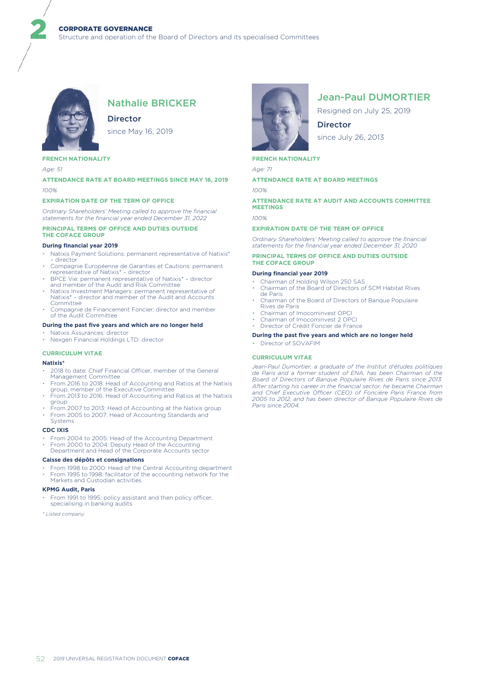

# Nathalie BRICKER

**Director** 

since May 16, 2019

# **FRENCH NATIONALITY**

*Age: 51*

2

### **ATTENDANCE RATE AT BOARD MEETINGS SINCE MAY 16, 2019** *100%*

#### **EXPIRATION DATE OF THE TERM OF OFFICE**

*Ordinary Shareholders' Meeting called to approve the financial statements for the financial year ended December 31, 2022*

### **PRINCIPAL TERMS OF OFFICE AND DUTIES OUTSIDE THE COFACE GROUP**

#### **During financial year 2019**

- Natixis Payment Solutions: permanent representative of Natixis\* director
- Compagnie Européenne de Garanties et Cautions: permanent representative of Natixis\* director
- BPCE Vie: permanent representative of Natixis\* director and member of the Audit and Risk Committee
- Natixis Investment Managers: permanent representative of Natixis\* director and member of the Audit and Accounts Committee
- Compagnie de Financement Foncier: director and member of the Audit Committee

#### **During the past five years and which are no longer held**

- Natixis Assurances: director
- Nexgen Financial Holdings LTD: director

#### **CURRICULUM VITAE**

#### **Natixis\***

- 2018 to date: Chief Financial Officer, member of the General Management Committee
- From 2016 to 2018: Head of Accounting and Ratios at the Natixis group, member of the Executive Committee
- From 2013 to 2016: Head of Accounting and Ratios at the Natixis group
- From 2007 to 2013: Head of Accounting at the Natixis group • From 2005 to 2007: Head of Accounting Standards and
- Systems

### **CDC IXIS**

- From 2004 to 2005: Head of the Accounting Department
- From 2000 to 2004: Deputy Head of the Accounting Department and Head of the Corporate Accounts sector

#### **Caisse des dépôts et consignations**

From 1998 to 2000: Head of the Central Accounting department • From 1995 to 1998: facilitator of the accounting network for the Markets and Custodian activities

#### **KPMG Audit, Paris**

From 1991 to 1995: policy assistant and then policy officer, specialising in banking audits

*\* Listed company.*



# Jean-Paul DUMORTIER

Resigned on July 25, 2019

**Director** since July 26, 2013

### **FRENCH NATIONALITY**

*Age: 71*

**ATTENDANCE RATE AT BOARD MEETINGS**

*100%*

### **ATTENDANCE RATE AT AUDIT AND ACCOUNTS COMMITTEE MEETINGS**

*100%*

#### **EXPIRATION DATE OF THE TERM OF OFFICE**

*Ordinary Shareholders' Meeting called to approve the financial statements for the financial year ended December 31, 2020*

#### **PRINCIPAL TERMS OF OFFICE AND DUTIES OUTSIDE THE COFACE GROUP**

#### **During financial year 2019**

- Chairman of Holding Wilson 250 SAS
- Chairman of the Board of Directors of SCM Habitat Rives de Paris
- Chairman of the Board of Directors of Banque Populaire Rives de Paris
- Chairman of Imocominvest OPCI
- Chairman of Imocominvest 2 OPCI
- Director of Crédit Foncier de France

### **During the past five years and which are no longer held**

• Director of SOVAFIM

#### **CURRICULUM VITAE**

*Jean-Paul Dumortier, a graduate of the Institut d'études politiques de Paris and a former student of ENA, has been Chairman of the Board of Directors of Banque Populaire Rives de Paris since 2013. After starting his career in the financial sector, he became Chairman and Chief Executive Officer (CEO) of Foncière Paris France from 2005 to 2012, and has been director of Banque Populaire Rives de Paris since 2004.*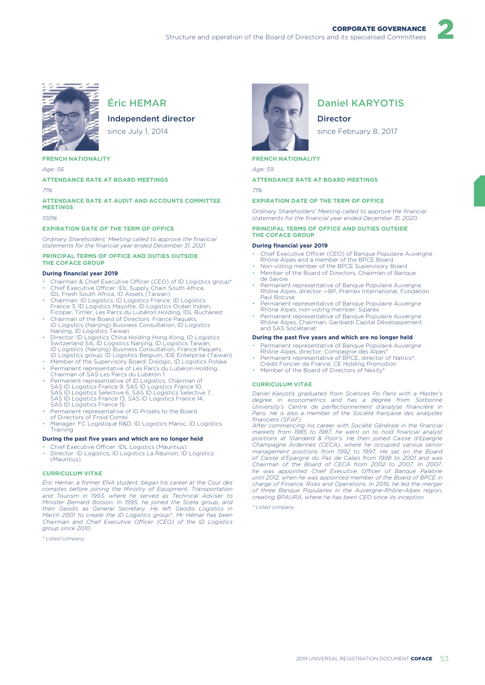

# Éric HEMAR

# Independent director

since July 1, 2014

### **FRENCH NATIONALITY**

*Age: 56*

#### **ATTENDANCE RATE AT BOARD MEETINGS**

*71%*

### **ATTENDANCE RATE AT AUDIT AND ACCOUNTS COMMITTEE MEETINGS**

*100%*

#### **EXPIRATION DATE OF THE TERM OF OFFICE**

*Ordinary Shareholders' Meeting called to approve the financial statements for the financial year ended December 31, 2021*

#### **PRINCIPAL TERMS OF OFFICE AND DUTIES OUTSIDE THE COFACE GROUP**

#### **During financial year 2019**

- Chairman & Chief Executive Officer (CEO) of ID Logistics group\*
- Chief Executive Officer: IDL Supply Chain South Africa, IDL Fresh South Africa, ID Assets (Taiwan)
- Chairman: ID Logistics, ID Logistics France, ID Logistics France 3, ID Logistics Mayotte, ID Logistics Océan Indien, Ficopar, Timler, Les Parcs du Lubéron Holding, IDL Bucharest
- Chairman of the Board of Directors: France Paquets, ID Logistics (Nanjing) Business Consultation, ID Logistics Nanjing, ID Logistics Taiwan
- Director: ID Logistics China Holding Hong Kong, ID Logistics Switzerland SA, ID Logistics Nanjing, ID Logistics Taiwan, ID Logistics (Nanjing) Business Consultation, France Paquets, ID Logistics group, ID Logistics Belgium, IDE Enterprise (Taiwan)
- Member of the Supervisory Board: Dislogic, ID Logistics Polska • Permanent representative of Les Parcs du Lubéron Holding,
- Chairman of SAS Les Parcs du Lubéron 1 • Permanent representative of ID Logistics, Chairman of<br>SAS ID Logistics France 9, SAS ID Logistics France 10,<br>SAS ID Logistics Selective 6, SAS ID Logistics Selective 7,<br>SAS ID Logistics France 13, SAS ID Logistics France
- Permanent representative of ID Projets to the Board of Directors of Froid Combi
- 
- Manager: FC Logistique R&D, ID Logistics Maroc, ID Logistics Training

### **During the past five years and which are no longer held**

- Chief Executive Officer: IDL Logistics (Mauritius)
- Director: ID Logistics, ID Logistics La Réunion, ID Logistics (Mauritius)

#### **CURRICULUM VITAE**

*Éric Hémar, a former ENA student, began his career at the Cour des comptes before joining the Ministry of Equipment, Transportation and Tourism in 1993, where he served as Technical Adviser to Minister Bernard Bosson. In 1995, he joined the Sceta group, and then Geodis as General Secretary. He left Geodis Logistics in March 2001 to create the ID Logistics group\*. Mr Hémar has been Chairman and Chief Executive Officer (CEO) of the ID Logistics group since 2010.*

*\* Listed company.*



# Daniel KARYOTIS

2

Director

since February 8, 2017

### **FRENCH NATIONALITY**

*Age: 59*

### **ATTENDANCE RATE AT BOARD MEETINGS**

*71%*

#### **EXPIRATION DATE OF THE TERM OF OFFICE**

*Ordinary Shareholders' Meeting called to approve the financial statements for the financial year ended December 31, 2020*

#### **PRINCIPAL TERMS OF OFFICE AND DUTIES OUTSIDE THE COFACE GROUP**

#### **During financial year 2019**

- Chief Executive Officer (CEO) of Banque Populaire Auvergne Rhône Alpes and a member of the BPCE Board
- Non-voting member of the BPCE Supervisory Board • Member of the Board of Directors, Chairman of Banque
- de Savoie Permanent representative of Banque Populaire Auvergne Rhône Alpes, director: i-BP, Pramex International, Fondation Paul Bocuse
- Permanent representative of Banque Populaire Auvergne Rhône Alpes, non-voting member: Siparex
- Permanent representative of Banque Populaire Auvergne Rhône Alpes, Chairman: Garibaldi Capital Développement and SAS Sociétariat

#### **During the past five years and which are no longer held**

- Permanent representative of Banque Populaire Auvergne Rhône Alpes, director: Compagnie des Alpes\*
- Permanent representative of BPCE, director of Natixis\*, Crédit Foncier de France, CE Holding Promotion
- Member of the Board of Directors of Nexity\*

#### **CURRICULUM VITAE**

*Daniel Karyotis graduated from Sciences Po Paris with a Master's degree in econometrics and has a degree from Sorbonne University's Centre de perfectionnement d'analyse financière in Paris. He is also a member of the Société française des analystes financiers (SFAF). After commencing his career with Société Générale in the financial*

*markets from 1985 to 1987, he went on to hold financial analyst positions at Standard & Poor's. He then joined Caisse d'Epargne Champagne Ardennes (CECA), where he occupied various senior management positions from 1992 to 1997. He sat on the Board of Caisse d'Epargne du Pas de Calais from 1998 to 2001 and was Chairman of the Board of CECA from 2002 to 2007. In 2007, he was appointed Chief Executive Officer of Banque Palatine until 2012, when he was appointed member of the Board of BPCE in charge of Finance, Risks and Operations. In 2016, he led the merger of three Banque Populaires in the Auvergne-Rhône-Alpes region, creating BPAURA, where he has been CEO since its inception.*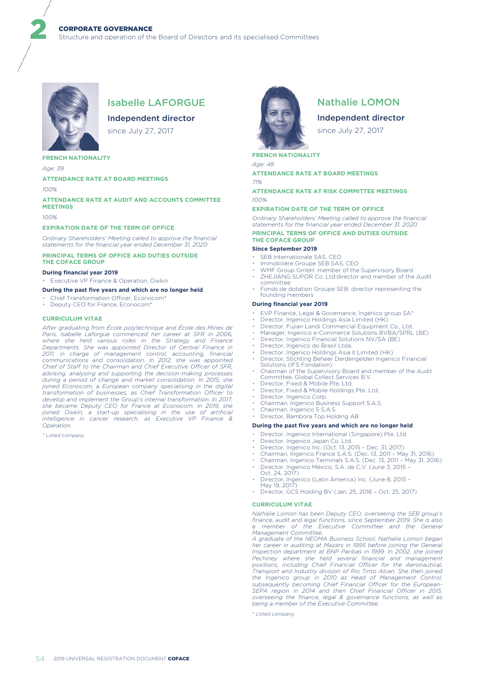

# Isabelle LAFORGUE

Independent director

since July 27, 2017

#### **FRENCH NATIONALITY**

*Age: 39*

2

#### **ATTENDANCE RATE AT BOARD MEETINGS**

*100%*

#### **ATTENDANCE RATE AT AUDIT AND ACCOUNTS COMMITTEE MEETINGS**

*100%*

#### **EXPIRATION DATE OF THE TERM OF OFFICE**

*Ordinary Shareholders' Meeting called to approve the financial statements for the financial year ended December 31, 2020*

#### **PRINCIPAL TERMS OF OFFICE AND DUTIES OUTSIDE THE COFACE GROUP**

#### **During financial year 2019**

• Executive VP Finance & Operation, Owkin

#### **During the past five years and which are no longer held**

- Chief Transformation Officer, Econocom\*
- Deputy CEO for France, Econocom\*

#### **CURRICULUM VITAE**

*After graduating from École polytechnique and École des Mines de Paris, Isabelle Laforgue commenced her career at SFR in 2006, where she held various roles in the Strategy and Finance Departments. She was appointed Director of Central Finance in 2011, in charge of management control, accounting, financial communications and consolidation. In 2012, she was appointed Chief of Staff to the Chairman and Chief Executive Officer of SFR, advising, analysing and supporting the decision-making processes during a period of change and market consolidation. In 2015, she joined Econocom, a European company specialising in the digital transformation of businesses, as Chief Transformation Officer to develop and implement the Group's internal transformation. In 2017, she became Deputy CEO for France at Econocom. In 2019, she joined Owkin, a start-up specialising in the use of artificial intelligence in cancer research, as Executive VP Finance & Operation.*

*\* Listed company.*



# Nathalie LOMON

Independent director

since July 27, 2017

#### **FRENCH NATIONALITY**

*Age: 48*

### **ATTENDANCE RATE AT BOARD MEETINGS**

*71%*

#### **ATTENDANCE RATE AT RISK COMMITTEE MEETINGS** *100%*

#### **EXPIRATION DATE OF THE TERM OF OFFICE**

*Ordinary Shareholders' Meeting called to approve the financial statements for the financial year ended December 31, 2020* **PRINCIPAL TERMS OF OFFICE AND DUTIES OUTSIDE THE COFACE GROUP**

#### **Since September 2019**

- SEB Internationale SAS, CEO
- Immobilière Groupe SEB SAS, CEO
- WMF Group GmbH: member of the Supervisory Board • ZHEJIANG SUPOR Co. Ltd:director and member of the Audit
- committee • Fonds de dotation Groupe SEB: director representing the
- founding members

#### **During financial year 2019**

- EVP Finance, Legal & Governance, Ingenico group SA\*
- Director, Ingenico Holdings Asia Limited (HK)
- Director, Fujian Landi Commercial Equipment Co., Ltd.
- Manager, Ingenico e-Commerce Solutions BVBA/SPRL (BE)
- Director, Ingenico Financial Solutions NV/SA (BE)
- Director, Ingenico do Brasil Ltda. • Director, Ingenico Holdings Asia II Limited (HK)
- Director, Stichting Beheer Derdengelden Ingenico Financial Solutions (IFS Fondation)
- Chairman of the Supervisory Board and member of the Audit Committee, Global Collect Services B.V.
- Director, Fixed & Mobile Pte. Ltd.
- Director, Fixed & Mobile Holdings Pte. Ltd.
- Director, Ingenico Corp.
- Chairman, Ingenico Business Support S.A.S.
- Chairman, Ingenico 5 S.A.S. • Director, Bambora Top Holding AB

### **During the past five years and which are no longer held**

- Director, Ingenico International (Singapore) Pte. Ltd.
- Director, Ingenico Japan Co. Ltd.
- Director, Ingenico Inc. (Oct. 13, 2015 Dec. 31, 2017)
- Chairman, Ingenico France S.A.S. (Dec. 13, 2011 May 31, 2016)
- Chairman, Ingenico Terminals S.A.S. (Dec. 13, 2011 May 31, 2016)
- Director, Ingenico México, S.A. de C.V. (June 3, 2015 Oct. 24, 2017)
- 
- Director, Ingenico (Latin America) Inc. (June 8, 2015 May 19, 2017)
- Director, GCS Holding BV (Jan. 25, 2016 Oct. 25, 2017)

#### **CURRICULUM VITAE**

*Nathalie Lomon has been Deputy CEO, overseeing the SEB group's finance, audit and legal functions, since September 2019. She is also a member of the Executive Committee and the General Management Committee.*

*A graduate of the NEOMA Business School, Nathalie Lomon began her career in auditing at Mazars in 1995 before joining the General Inspection department at BNP Paribas in 1999. In 2002, she joined Pechiney where she held several financial and management positions, including Chief Financial Officer for the Aeronautical, Transport and Industry division of Rio Tinto Alcan. She then joined the Ingenico group in 2010 as Head of Management Control, subsequently becoming Chief Financial Officer for the European-SEPA region in 2014 and then Chief Financial Officer in 2015, overseeing the finance, legal & governance functions, as well as being a member of the Executive Committee.*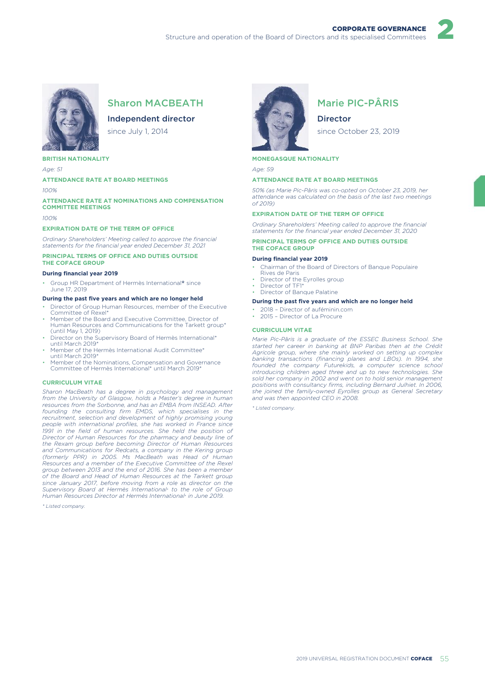

# Sharon MACBEATH

# Independent director

since July 1, 2014

#### **BRITISH NATIONALITY**

*Age: 51*

#### **ATTENDANCE RATE AT BOARD MEETINGS**

*100%*

#### **ATTENDANCE RATE AT NOMINATIONS AND COMPENSATION COMMITTEE MEETINGS**

*100%*

#### **EXPIRATION DATE OF THE TERM OF OFFICE**

*Ordinary Shareholders' Meeting called to approve the financial statements for the financial year ended December 31, 2021*

#### **PRINCIPAL TERMS OF OFFICE AND DUTIES OUTSIDE THE COFACE GROUP**

#### **During financial year 2019**

• Group HR Department of Hermès International\* since June 17, 2019

#### **During the past five years and which are no longer held**

- Director of Group Human Resources, member of the Executive Committee of Rexel\*
- Member of the Board and Executive Committee, Director of Human Resources and Communications for the Tarkett group\* (until May 1, 2019)
- Director on the Supervisory Board of Hermès International\* until March 2019\*
- Member of the Hermès International Audit Committee\* until March 2019\*
- Member of the Nominations, Compensation and Governance Committee of Hermès International\* until March 2019\*

#### **CURRICULUM VITAE**

*Sharon MacBeath has a degree in psychology and management from the University of Glasgow, holds a Master's degree in human resources from the Sorbonne, and has an EMBA from INSEAD. After founding the consulting firm EMDS, which specialises in the recruitment, selection and development of highly promising young people with international profiles, she has worked in France since 1991 in the field of human resources. She held the position of Director of Human Resources for the pharmacy and beauty line of the Rexam group before becoming Director of Human Resources and Communications for Redcats, a company in the Kering group (formerly PPR) in 2005. Ms MacBeath was Head of Human Resources and a member of the Executive Committee of the Rexel group between 2013 and the end of 2016. She has been a member of the Board and Head of Human Resources at the Tarkett group since January 2017, before moving from a role as director on the Supervisory Board at Hermès International*\* *to the role of Group Human Resources Director at Hermès International*\* *in June 2019.*

*\* Listed company.*



# Marie PIC-PÂRIS

2

Director

since October 23, 2019

### **MONEGASQUE NATIONALITY**

*Age: 59*

#### **ATTENDANCE RATE AT BOARD MEETINGS**

*50% (as Marie Pic-Pâris was co-opted on October 23, 2019, her attendance was calculated on the basis of the last two meetings of 2019)*

#### **EXPIRATION DATE OF THE TERM OF OFFICE**

*Ordinary Shareholders' Meeting called to approve the financial statements for the financial year ended December 31, 2020*

#### **PRINCIPAL TERMS OF OFFICE AND DUTIES OUTSIDE THE COFACE GROUP**

#### **During financial year 2019**

- Chairman of the Board of Directors of Banque Populaire
- Rives de Paris • Director of the Eyrolles group
- Director of TF1\*
- Director of Banque Palatine

#### **During the past five years and which are no longer held**

- 2018 Director of auféminin.com
- 2015 Director of La Procure

#### **CURRICULUM VITAE**

*Marie Pic-Pâris is a graduate of the ESSEC Business School. She started her career in banking at BNP Paribas then at the Crédit Agricole group, where she mainly worked on setting up complex banking transactions (financing planes and LBOs). In 1994, she founded the company Futurekids, a computer science school introducing children aged three and up to new technologies. She sold her company in 2002 and went on to hold senior management positions with consultancy firms, including Bernard Julhiet. In 2006, she joined the family-owned Eyrolles group as General Secretary and was then appointed CEO in 2008.*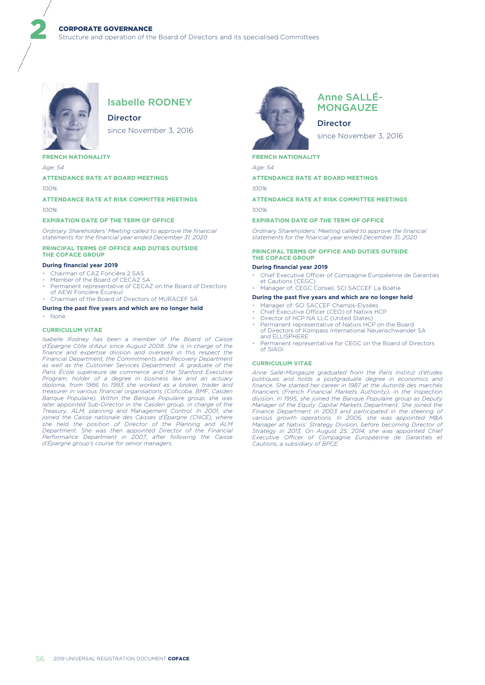

# Isabelle RODNEY

# **Director**

since November 3, 2016

### **FRENCH NATIONALITY**

*Age: 54*

2

#### **ATTENDANCE RATE AT BOARD MEETINGS**

*100%*

# **ATTENDANCE RATE AT RISK COMMITTEE MEETINGS** *100%*

#### **EXPIRATION DATE OF THE TERM OF OFFICE**

*Ordinary Shareholders' Meeting called to approve the financial statements for the financial year ended December 31, 2020*

#### **PRINCIPAL TERMS OF OFFICE AND DUTIES OUTSIDE THE COFACE GROUP**

#### **During financial year 2019**

- Chairman of CAZ Foncière 2 SAS
- Member of the Board of CECAZ SA
- Permanent representative of CECAZ on the Board of Directors of AEW Foncière Écureuil • Chairman of the Board of Directors of MURACEF SA
- 

# **During the past five years and which are no longer held**

• None

#### **CURRICULUM VITAE**

*Isabelle Rodney has been a member of the Board of Caisse d'Épargne Côte d'Azur since August 2008. She is in charge of the finance and expertise division and oversees in this respect the Financial Department, the Commitments and Recovery Department as well as the Customer Services Department. A graduate of the Paris École supérieure de commerce and the Stanford Executive Program, holder of a degree in business law and an actuary diploma, from 1986 to 1993 she worked as a broker, trader and treasurer in various financial organisations (Coficoba, BMF, Casden Banque Populaire). Within the Banque Populaire group, she was later appointed Sub-Director in the Casden group, in charge of the Treasury, ALM, planning and Management Control. In 2001, she joined the Caisse nationale des Caisses d'Épargne (CNCE), where she held the position of Director of the Planning and ALM Department. She was then appointed Director of the Financial Performance Department in 2007, after following the Caisse d'Épargne group's course for senior managers.*



# Anne SALLÉ-**MONGAUZE**

Director since November 3, 2016

### **FRENCH NATIONALITY**

*Age: 54*

**ATTENDANCE RATE AT BOARD MEETINGS** *100%*

# **ATTENDANCE RATE AT RISK COMMITTEE MEETINGS** *100%*

#### **EXPIRATION DATE OF THE TERM OF OFFICE**

*Ordinary Shareholders' Meeting called to approve the financial statements for the financial year ended December 31, 2020*

#### **PRINCIPAL TERMS OF OFFICE AND DUTIES OUTSIDE THE COFACE GROUP**

#### **During financial year 2019**

• Chief Executive Officer of Compagnie Européenne de Garanties et Cautions (CEGC) • Manager of: CEGC Conseil, SCI SACCEF La Boétie

# **During the past five years and which are no longer held**

- Manager of: SCI SACCEF Champs-Elysées
- Chief Executive Officer (CEO) of Natixis HCP • Director of HCP NA LLC (United States)
- Permanent representative of Natixis HCP on the Board
- of Directors of Kompass International Neuenschwander SA and ELLISPHERE
- Permanent representative for CEGC on the Board of Directors of SIAGI

### **CURRICULUM VITAE**

*Anne Sallé-Mongauze graduated from the Paris Institut d'études politiques and holds a postgraduate degree in economics and finance. She started her career in 1987 at the Autorité des marchés financiers (French Financial Markets Authority), in the inspection division. In 1995, she joined the Banque Populaire group as Deputy Manager of the Equity Capital Markets Department. She joined the Finance Department in 2003 and participated in the steering of various growth operations. In 2006, she was appointed M&A Manager at Natixis' Strategy Division, before becoming Director of Strategy in 2013. On August 25, 2014, she was appointed Chief Executive Officer of Compagnie Européenne de Garanties et Cautions, a subsidiary of BPCE.*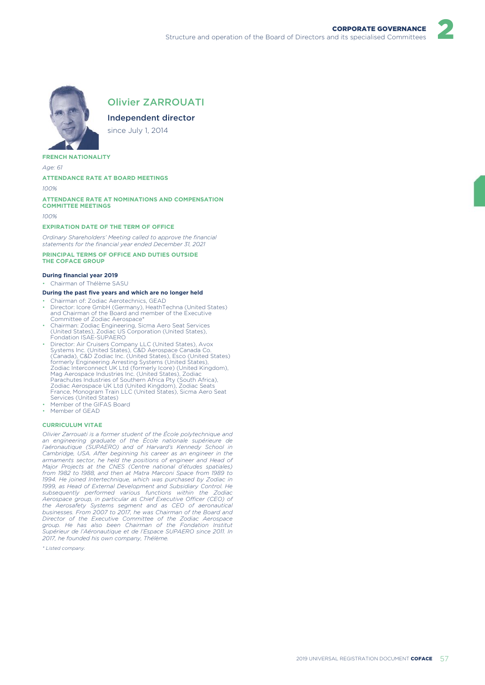2



# Olivier ZARROUATI

Independent director

since July 1, 2014

#### **FRENCH NATIONALITY**

*Age: 61*

#### **ATTENDANCE RATE AT BOARD MEETINGS**

*100%*

#### **ATTENDANCE RATE AT NOMINATIONS AND COMPENSATION COMMITTEE MEETINGS**

*100%*

#### **EXPIRATION DATE OF THE TERM OF OFFICE**

*Ordinary Shareholders' Meeting called to approve the financial statements for the financial year ended December 31, 2021*

#### **PRINCIPAL TERMS OF OFFICE AND DUTIES OUTSIDE THE COFACE GROUP**

#### **During financial year 2019**

• Chairman of Thélème SASU

#### **During the past five years and which are no longer held**

- Chairman of: Zodiac Aerotechnics, GEAD
- Director: Icore GmbH (Germany), HeathTechna (United States) and Chairman of the Board and member of the Executive Committee of Zodiac Aerospace\*
- Chairman: Zodiac Engineering, Sicma Aero Seat Services (United States), Zodiac US Corporation (United States), Fondation ISAE-SUPAERO
- Director: Air Cruisers Company LLC (United States), Avox Systems Inc. (United States), C&D Aerospace Canada Co. (Canada), C&D Zodiac Inc. (United States), Esco (United States) formerly Engineering Arresting Systems (United States), Zodiac Interconnect UK Ltd (formerly Icore) (United Kingdom), Mag Aerospace Industries Inc. (United States), Zodiac Parachutes Industries of Southern Africa Pty (South Africa), Zodiac Aerospace UK Ltd (United Kingdom), Zodiac Seats France, Monogram Train LLC (United States), Sicma Aero Seat Services (United States) Member of the GIFAS Board
- Member of GEAD

#### **CURRICULUM VITAE**

*Olivier Zarrouati is a former student of the École polytechnique and an engineering graduate of the École nationale supérieure de l'aéronautique (SUPAERO) and of Harvard's Kennedy School in Cambridge, USA. After beginning his career as an engineer in the armaments sector, he held the positions of engineer and Head of Major Projects at the CNES (Centre national d'études spatiales) from 1982 to 1988, and then at Matra Marconi Space from 1989 to 1994. He joined Intertechnique, which was purchased by Zodiac in 1999, as Head of External Development and Subsidiary Control. He subsequently performed various functions within the Zodiac Aerospace group, in particular as Chief Executive Officer (CEO) of the Aerosafety Systems segment and as CEO of aeronautical businesses. From 2007 to 2017, he was Chairman of the Board and Director of the Executive Committee of the Zodiac Aerospace group. He has also been Chairman of the Fondation Institut Supérieur de l'Aéronautique et de l'Espace SUPAERO since 2011. In 2017, he founded his own company, Thélème.*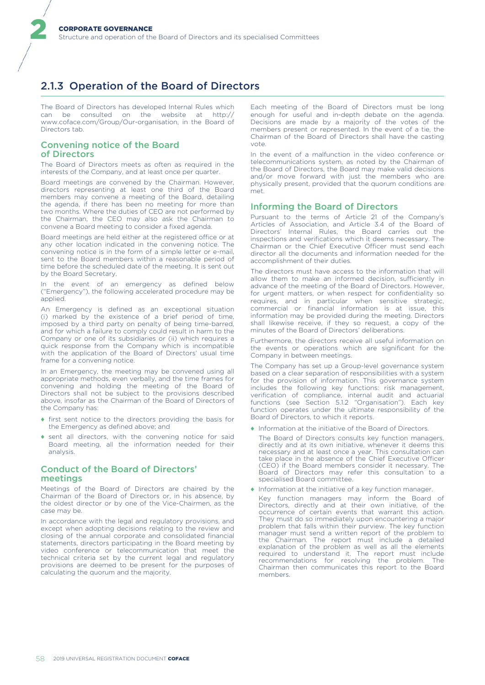# 2.1.3 Operation of the Board of Directors

The Board of Directors has developed Internal Rules which can be consulted on the website at http:// www.coface.com/Group/Our-organisation, in the Board of Directors tab.

# Convening notice of the Board of Directors

2

The Board of Directors meets as often as required in the interests of the Company, and at least once per quarter.

Board meetings are convened by the Chairman. However, directors representing at least one third of the Board members may convene a meeting of the Board, detailing the agenda, if there has been no meeting for more than two months. Where the duties of CEO are not performed by the Chairman, the CEO may also ask the Chairman to convene a Board meeting to consider a fixed agenda.

Board meetings are held either at the registered office or at any other location indicated in the convening notice. The convening notice is in the form of a simple letter or e-mail, sent to the Board members within a reasonable period of time before the scheduled date of the meeting. It is sent out by the Board Secretary.

In the event of an emergency as defined below ("Emergency"), the following accelerated procedure may be applied.

An Emergency is defined as an exceptional situation (i) marked by the existence of a brief period of time, imposed by a third party on penalty of being time-barred, and for which a failure to comply could result in harm to the Company or one of its subsidiaries or (ii) which requires a quick response from the Company which is incompatible with the application of the Board of Directors' usual time frame for a convening notice.

In an Emergency, the meeting may be convened using all appropriate methods, even verbally, and the time frames for convening and holding the meeting of the Board of Directors shall not be subject to the provisions described above, insofar as the Chairman of the Board of Directors of the Company has:

- ♦ first sent notice to the directors providing the basis for the Emergency as defined above; and
- ♦ sent all directors, with the convening notice for said Board meeting, all the information needed for their analysis.

# Conduct of the Board of Directors' meetings

Meetings of the Board of Directors are chaired by the Chairman of the Board of Directors or, in his absence, by the oldest director or by one of the Vice-Chairmen, as the case may be.

In accordance with the legal and regulatory provisions, and except when adopting decisions relating to the review and closing of the annual corporate and consolidated financial statements, directors participating in the Board meeting by video conference or telecommunication that meet the technical criteria set by the current legal and regulatory provisions are deemed to be present for the purposes of calculating the quorum and the majority.

Each meeting of the Board of Directors must be long enough for useful and in-depth debate on the agenda. Decisions are made by a majority of the votes of the members present or represented. In the event of a tie, the Chairman of the Board of Directors shall have the casting vote.

In the event of a malfunction in the video conference or telecommunications system, as noted by the Chairman of the Board of Directors, the Board may make valid decisions and/or move forward with just the members who are physically present, provided that the quorum conditions are met.

# Informing the Board of Directors

Pursuant to the terms of Article 21 of the Company's Articles of Association, and Article 3.4 of the Board of Directors' Internal Rules, the Board carries out the inspections and verifications which it deems necessary. The Chairman or the Chief Executive Officer must send each director all the documents and information needed for the accomplishment of their duties.

The directors must have access to the information that will allow them to make an informed decision, sufficiently in advance of the meeting of the Board of Directors. However, for urgent matters, or when respect for confidentiality so requires, and in particular when sensitive strategic, commercial or financial information is at issue, this information may be provided during the meeting. Directors shall likewise receive, if they so request, a copy of the minutes of the Board of Directors' deliberations.

Furthermore, the directors receive all useful information on the events or operations which are significant for the Company in between meetings.

The Company has set up a Group-level governance system based on a clear separation of responsibilities with a system for the provision of information. This governance system includes the following key functions: risk management, verification of compliance, internal audit and actuarial functions (see Section 5.1.2 "Organisation"). Each key function operates under the ultimate responsibility of the Board of Directors, to which it reports.

Information at the initiative of the Board of Directors.

The Board of Directors consults key function managers, directly and at its own initiative, whenever it deems this necessary and at least once a year. This consultation can take place in the absence of the Chief Executive Officer (CEO) if the Board members consider it necessary. The Board of Directors may refer this consultation to a specialised Board committee.

♦ Information at the initiative of a key function manager.

Key function managers may inform the Board of Directors, directly and at their own initiative, of the occurrence of certain events that warrant this action. They must do so immediately upon encountering a major problem that falls within their purview. The key function manager must send a written report of the problem to the Chairman. The report must include a detailed explanation of the problem as well as all the elements required to understand it. The report must include recommendations for resolving the problem. The Chairman then communicates this report to the Board members.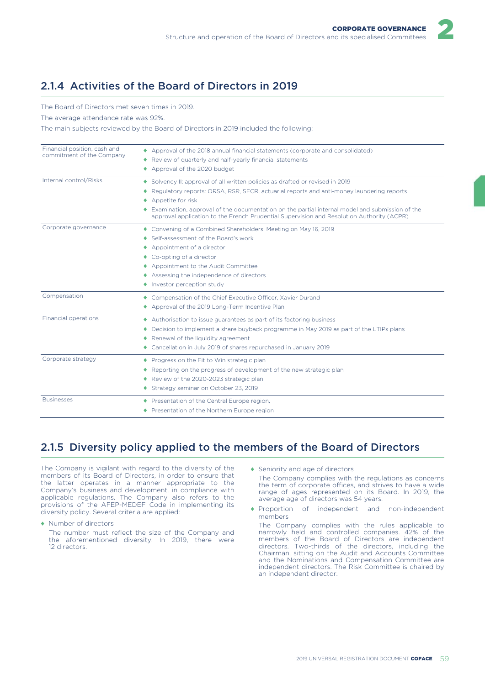2

# 2.1.4 Activities of the Board of Directors in 2019

The Board of Directors met seven times in 2019.

The average attendance rate was 92%.

The main subjects reviewed by the Board of Directors in 2019 included the following:

| Financial position, cash and<br>commitment of the Company | ♦ Approval of the 2018 annual financial statements (corporate and consolidated)<br>◆ Review of quarterly and half-yearly financial statements<br>◆ Approval of the 2020 budget                                                                                                                                                                                                              |
|-----------------------------------------------------------|---------------------------------------------------------------------------------------------------------------------------------------------------------------------------------------------------------------------------------------------------------------------------------------------------------------------------------------------------------------------------------------------|
| Internal control/Risks                                    | Solvency II: approval of all written policies as drafted or revised in 2019<br>Regulatory reports: ORSA, RSR, SFCR, actuarial reports and anti-money laundering reports<br>Appetite for risk<br>Examination, approval of the documentation on the partial internal model and submission of the<br>approval application to the French Prudential Supervision and Resolution Authority (ACPR) |
| Corporate governance                                      | ◆ Convening of a Combined Shareholders' Meeting on May 16, 2019<br>◆ Self-assessment of the Board's work<br>Appointment of a director<br>◆ Co-opting of a director<br>◆ Appointment to the Audit Committee<br>Assessing the independence of directors<br>◆ Investor perception study                                                                                                        |
| Compensation                                              | ◆ Compensation of the Chief Executive Officer, Xavier Durand<br>Approval of the 2019 Long-Term Incentive Plan                                                                                                                                                                                                                                                                               |
| Financial operations                                      | Authorisation to issue quarantees as part of its factoring business<br>♦ Decision to implement a share buyback programme in May 2019 as part of the LTIPs plans<br>◆ Renewal of the liquidity agreement<br>♦ Cancellation in July 2019 of shares repurchased in January 2019                                                                                                                |
| Corporate strategy                                        | ◆ Progress on the Fit to Win strategic plan<br>♦ Reporting on the progress of development of the new strategic plan<br>◆ Review of the 2020-2023 strategic plan<br>◆ Strategy seminar on October 23, 2019                                                                                                                                                                                   |
| <b>Businesses</b>                                         | ◆ Presentation of the Central Europe region,<br>◆ Presentation of the Northern Europe region                                                                                                                                                                                                                                                                                                |

# 2.1.5 Diversity policy applied to the members of the Board of Directors

The Company is vigilant with regard to the diversity of the members of its Board of Directors, in order to ensure that the latter operates in a manner appropriate to the Company's business and development, in compliance with applicable regulations. The Company also refers to the provisions of the AFEP-MEDEF Code in implementing its diversity policy. Several criteria are applied:

♦ Number of directors

The number must reflect the size of the Company and the aforementioned diversity. In 2019, there were 12 directors.

♦ Seniority and age of directors

The Company complies with the regulations as concerns the term of corporate offices, and strives to have a wide range of ages represented on its Board. In 2019, the average age of directors was 54 years.

♦ Proportion of independent and non-independent members

The Company complies with the rules applicable to narrowly held and controlled companies. 42% of the members of the Board of Directors are independent directors. Two-thirds of the directors, including the Chairman, sitting on the Audit and Accounts Committee and the Nominations and Compensation Committee are independent directors. The Risk Committee is chaired by an independent director.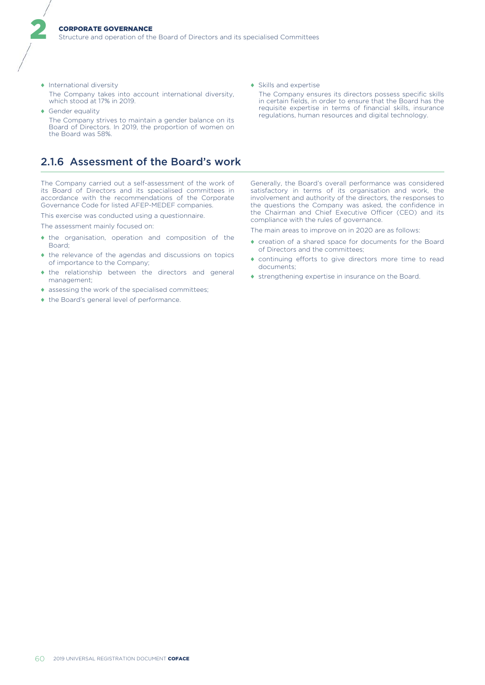- ♦ International diversity The Company takes into account international diversity, which stood at 17% in 2019.
- ♦ Gender equality The Company strives to maintain a gender balance on its Board of Directors. In 2019, the proportion of women on

# 2.1.6 Assessment of the Board's work

The Company carried out a self-assessment of the work of its Board of Directors and its specialised committees in accordance with the recommendations of the Corporate Governance Code for listed AFEP-MEDEF companies.

This exercise was conducted using a questionnaire.

The assessment mainly focused on:

the Board was 58%.

2

- ♦ the organisation, operation and composition of the Board;
- ♦ the relevance of the agendas and discussions on topics of importance to the Company;
- ♦ the relationship between the directors and general management;
- ♦ assessing the work of the specialised committees;
- ♦ the Board's general level of performance.

♦ Skills and expertise

The Company ensures its directors possess specific skills in certain fields, in order to ensure that the Board has the requisite expertise in terms of financial skills, insurance regulations, human resources and digital technology.

Generally, the Board's overall performance was considered satisfactory in terms of its organisation and work, the involvement and authority of the directors, the responses to the questions the Company was asked, the confidence in the Chairman and Chief Executive Officer (CEO) and its compliance with the rules of governance.

The main areas to improve on in 2020 are as follows:

- ♦ creation of a shared space for documents for the Board of Directors and the committees;
- ♦ continuing efforts to give directors more time to read documents;
- ♦ strengthening expertise in insurance on the Board.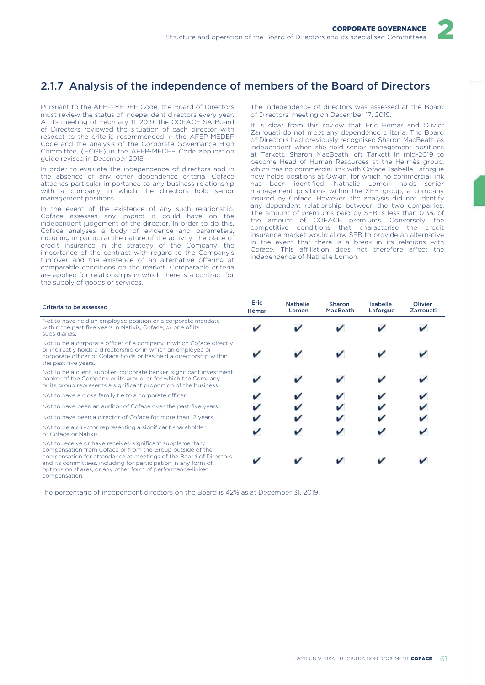

# 2.1.7 Analysis of the independence of members of the Board of Directors

Pursuant to the AFEP-MEDEF Code, the Board of Directors must review the status of independent directors every year. At its meeting of February 11, 2019, the COFACE SA Board of Directors reviewed the situation of each director with respect to the criteria recommended in the AFEP-MEDEF Code and the analysis of the Corporate Governance High Committee, (HCGE) in the AFEP-MEDEF Code application guide revised in December 2018.

In order to evaluate the independence of directors and in the absence of any other dependence criteria, Coface attaches particular importance to any business relationship with a company in which the directors hold senior management positions.

In the event of the existence of any such relationship, Coface assesses any impact it could have on the independent judgement of the director. In order to do this, Coface analyses a body of evidence and parameters, including in particular the nature of the activity, the place of credit insurance in the strategy of the Company, the importance of the contract with regard to the Company's turnover and the existence of an alternative offering at comparable conditions on the market. Comparable criteria are applied for relationships in which there is a contract for the supply of goods or services.

The independence of directors was assessed at the Board of Directors' meeting on December 17, 2019.

It is clear from this review that Éric Hémar and Olivier Zarrouati do not meet any dependence criteria. The Board of Directors had previously recognised Sharon MacBeath as independent when she held senior management positions at Tarkett. Sharon MacBeath left Tarkett in mid-2019 to become Head of Human Resources at the Hermès group, which has no commercial link with Coface. Isabelle Laforgue now holds positions at Owkin, for which no commercial link has been identified. Nathalie Lomon holds senior management positions within the SEB group, a company insured by Coface. However, the analysis did not identify any dependent relationship between the two companies. The amount of premiums paid by SEB is less than 0.3% of the amount of COFACE premiums. Conversely, the competitive conditions that characterise the credit insurance market would allow SEB to provide an alternative in the event that there is a break in its relations with Coface. This affiliation does not therefore affect the independence of Nathalie Lomon.

| Criteria to be assessed                                                                                                                                                                                                                                                                                                                      | Éric<br>Hémar | <b>Nathalie</b><br>Lomon | <b>Sharon</b><br>MacBeath | Isabelle<br>Laforgue | Olivier<br>Zarrouati |
|----------------------------------------------------------------------------------------------------------------------------------------------------------------------------------------------------------------------------------------------------------------------------------------------------------------------------------------------|---------------|--------------------------|---------------------------|----------------------|----------------------|
| Not to have held an employee position or a corporate mandate<br>within the past five years in Natixis, Coface, or one of its<br>subsidiaries.                                                                                                                                                                                                |               |                          |                           |                      |                      |
| Not to be a corporate officer of a company in which Coface directly<br>or indirectly holds a directorship or in which an employee or<br>corporate officer of Coface holds or has held a directorship within<br>the past five years.                                                                                                          |               |                          |                           |                      |                      |
| Not to be a client, supplier, corporate banker, significant investment<br>banker of the Company or its group, or for which the Company<br>or its group represents a significant proportion of the business.                                                                                                                                  |               |                          |                           |                      |                      |
| Not to have a close family tie to a corporate officer.                                                                                                                                                                                                                                                                                       |               |                          |                           |                      |                      |
| Not to have been an auditor of Coface over the past five years.                                                                                                                                                                                                                                                                              |               |                          |                           |                      |                      |
| Not to have been a director of Coface for more than 12 years.                                                                                                                                                                                                                                                                                |               |                          |                           |                      |                      |
| Not to be a director representing a significant shareholder<br>of Coface or Natixis.                                                                                                                                                                                                                                                         |               |                          |                           |                      |                      |
| Not to receive or have received significant supplementary<br>compensation from Coface or from the Group outside of the<br>compensation for attendance at meetings of the Board of Directors<br>and its committees, including for participation in any form of<br>options on shares, or any other form of performance-linked<br>compensation. |               |                          |                           |                      |                      |

The percentage of independent directors on the Board is 42% as at December 31, 2019.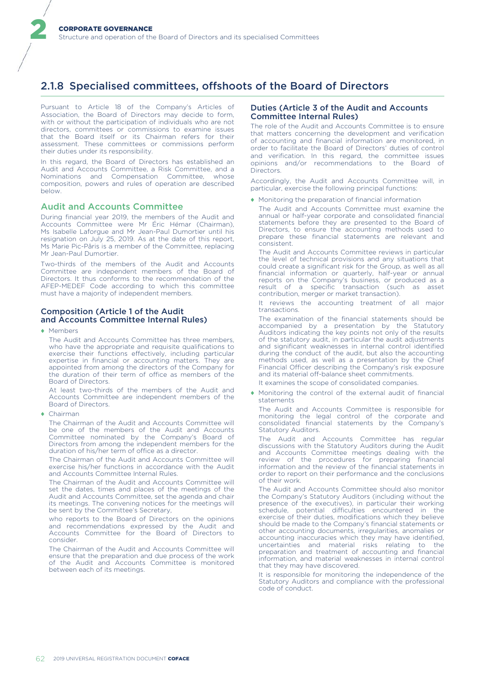# 2.1.8 Specialised committees, offshoots of the Board of Directors

Pursuant to Article 18 of the Company's Articles of Association, the Board of Directors may decide to form, with or without the participation of individuals who are not directors, committees or commissions to examine issues that the Board itself or its Chairman refers for their assessment. These committees or commissions perform their duties under its responsibility.

In this regard, the Board of Directors has established an Audit and Accounts Committee, a Risk Committee, and a Nominations and Compensation Committee, whose composition, powers and rules of operation are described below.

# Audit and Accounts Committee

During financial year 2019, the members of the Audit and Accounts Committee were Mr Éric Hémar (Chairman), Ms Isabelle Laforgue and Mr Jean-Paul Dumortier until his resignation on July 25, 2019. As at the date of this report, Ms Marie Pic-Pâris is a member of the Committee, replacing Mr Jean-Paul Dumortier.

Two-thirds of the members of the Audit and Accounts Committee are independent members of the Board of Directors. It thus conforms to the recommendation of the AFEP-MEDEF Code according to which this committee must have a majority of independent members.

# Composition (Article 1 of the Audit and Accounts Committee Internal Rules)

♦ Members

2

The Audit and Accounts Committee has three members, who have the appropriate and requisite qualifications to exercise their functions effectively, including particular expertise in financial or accounting matters. They are appointed from among the directors of the Company for the duration of their term of office as members of the Board of Directors.

At least two-thirds of the members of the Audit and Accounts Committee are independent members of the Board of Directors.

♦ Chairman

The Chairman of the Audit and Accounts Committee will be one of the members of the Audit and Accounts Committee nominated by the Company's Board of Directors from among the independent members for the duration of his/her term of office as a director.

The Chairman of the Audit and Accounts Committee will exercise his/her functions in accordance with the Audit and Accounts Committee Internal Rules.

The Chairman of the Audit and Accounts Committee will set the dates, times and places of the meetings of the Audit and Accounts Committee, set the agenda and chair its meetings. The convening notices for the meetings will be sent by the Committee's Secretary,

who reports to the Board of Directors on the opinions and recommendations expressed by the Audit and Accounts Committee for the Board of Directors to consider.

The Chairman of the Audit and Accounts Committee will ensure that the preparation and due process of the work of the Audit and Accounts Committee is monitored between each of its meetings.

# Duties (Article 3 of the Audit and Accounts Committee Internal Rules)

The role of the Audit and Accounts Committee is to ensure that matters concerning the development and verification of accounting and financial information are monitored, in order to facilitate the Board of Directors' duties of control and verification. In this regard, the committee issues opinions and/or recommendations to the Board of Directors.

Accordingly, the Audit and Accounts Committee will, in particular, exercise the following principal functions:

♦ Monitoring the preparation of financial information

The Audit and Accounts Committee must examine the annual or half-year corporate and consolidated financial statements before they are presented to the Board of Directors, to ensure the accounting methods used to prepare these financial statements are relevant and consistent.

The Audit and Accounts Committee reviews in particular the level of technical provisions and any situations that could create a significant risk for the Group, as well as all financial information or quarterly, half-year or annual reports on the Company's business, or produced as a result of a specific transaction (such as asset contribution, merger or market transaction).

It reviews the accounting treatment of all major transactions.

The examination of the financial statements should be accompanied by a presentation by the Statutory Auditors indicating the key points not only of the results of the statutory audit, in particular the audit adjustments and significant weaknesses in internal control identified during the conduct of the audit, but also the accounting methods used, as well as a presentation by the Chief Financial Officer describing the Company's risk exposure and its material off-balance sheet commitments.

It examines the scope of consolidated companies.

♦ Monitoring the control of the external audit of financial statements

The Audit and Accounts Committee is responsible for monitoring the legal control of the corporate and consolidated financial statements by the Company's Statutory Auditors.

The Audit and Accounts Committee has regular discussions with the Statutory Auditors during the Audit and Accounts Committee meetings dealing with the review of the procedures for preparing financial information and the review of the financial statements in order to report on their performance and the conclusions of their work.

The Audit and Accounts Committee should also monitor the Company's Statutory Auditors (including without the presence of the executives), in particular their working schedule, potential difficulties encountered in the exercise of their duties, modifications which they believe should be made to the Company's financial statements or other accounting documents, irregularities, anomalies or accounting inaccuracies which they may have identified, uncertainties and material risks relating to the preparation and treatment of accounting and financial information, and material weaknesses in internal control that they may have discovered.

It is responsible for monitoring the independence of the Statutory Auditors and compliance with the professional code of conduct.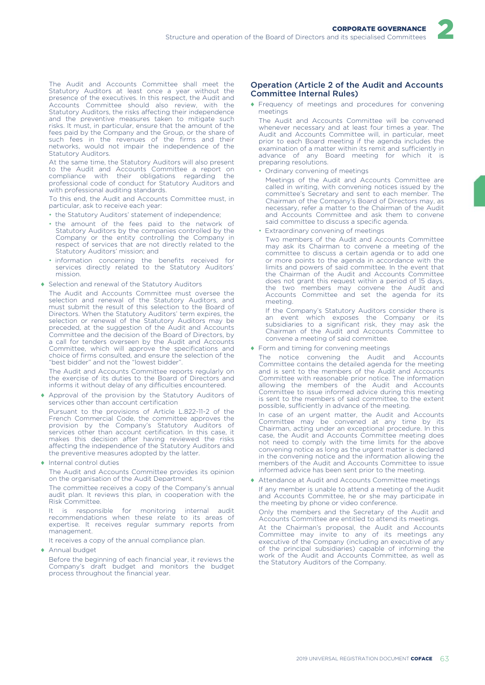

The Audit and Accounts Committee shall meet the Statutory Auditors at least once a year without the presence of the executives. In this respect, the Audit and Accounts Committee should also review, with the Statutory Auditors, the risks affecting their independence and the preventive measures taken to mitigate such risks. It must, in particular, ensure that the amount of the fees paid by the Company and the Group, or the share of such fees in the revenues of the firms and their networks, would not impair the independence of the Statutory Auditors.

At the same time, the Statutory Auditors will also present to the Audit and Accounts Committee a report on compliance with their obligations regarding the professional code of conduct for Statutory Auditors and with professional auditing standards.

To this end, the Audit and Accounts Committee must, in particular, ask to receive each year:

- the Statutory Auditors' statement of independence:
- the amount of the fees paid to the network of Statutory Auditors by the companies controlled by the Company or the entity controlling the Company in respect of services that are not directly related to the Statutory Auditors' mission; and
- information concerning the benefits received for services directly related to the Statutory Auditors' mission.
- ♦ Selection and renewal of the Statutory Auditors

The Audit and Accounts Committee must oversee the selection and renewal of the Statutory Auditors, and must submit the result of this selection to the Board of Directors. When the Statutory Auditors' term expires, the selection or renewal of the Statutory Auditors may be preceded, at the suggestion of the Audit and Accounts Committee and the decision of the Board of Directors, by a call for tenders overseen by the Audit and Accounts Committee, which will approve the specifications and choice of firms consulted, and ensure the selection of the "best bidder" and not the "lowest bidder".

The Audit and Accounts Committee reports regularly on the exercise of its duties to the Board of Directors and informs it without delay of any difficulties encountered.

♦ Approval of the provision by the Statutory Auditors of services other than account certification

Pursuant to the provisions of Article L.822-11-2 of the French Commercial Code, the committee approves the provision by the Company's Statutory Auditors of services other than account certification. In this case, it makes this decision after having reviewed the risks affecting the independence of the Statutory Auditors and the preventive measures adopted by the latter.

♦ Internal control duties

The Audit and Accounts Committee provides its opinion on the organisation of the Audit Department.

The committee receives a copy of the Company's annual audit plan. It reviews this plan, in cooperation with the Risk Committee.

It is responsible for monitoring internal audit recommendations when these relate to its areas of expertise. It receives regular summary reports from management.

It receives a copy of the annual compliance plan.

♦ Annual budget

Before the beginning of each financial year, it reviews the Company's draft budget and monitors the budget process throughout the financial year.

### Operation (Article 2 of the Audit and Accounts Committee Internal Rules)

♦ Frequency of meetings and procedures for convening meetings

The Audit and Accounts Committee will be convened whenever necessary and at least four times a year. The Audit and Accounts Committee will, in particular, meet prior to each Board meeting if the agenda includes the examination of a matter within its remit and sufficiently in advance of any Board meeting for which it is preparing resolutions.

• Ordinary convening of meetings

Meetings of the Audit and Accounts Committee are called in writing, with convening notices issued by the committee's Secretary and sent to each member. The Chairman of the Company's Board of Directors may, as necessary, refer a matter to the Chairman of the Audit and Accounts Committee and ask them to convene said committee to discuss a specific agenda.

• Extraordinary convening of meetings

Two members of the Audit and Accounts Committee may ask its Chairman to convene a meeting of the committee to discuss a certain agenda or to add one or more points to the agenda in accordance with the limits and powers of said committee. In the event that the Chairman of the Audit and Accounts Committee does not grant this request within a period of 15 days, the two members may convene the Audit and Accounts Committee and set the agenda for its meeting.

If the Company's Statutory Auditors consider there is an event which exposes the Company or its subsidiaries to a significant risk, they may ask the Chairman of the Audit and Accounts Committee to convene a meeting of said committee.

#### ♦ Form and timing for convening meetings

The notice convening the Audit and Accounts Committee contains the detailed agenda for the meeting and is sent to the members of the Audit and Accounts Committee with reasonable prior notice. The information allowing the members of the Audit and Accounts Committee to issue informed advice during this meeting is sent to the members of said committee, to the extent possible, sufficiently in advance of the meeting.

In case of an urgent matter, the Audit and Accounts Committee may be convened at any time by its Chairman, acting under an exceptional procedure. In this case, the Audit and Accounts Committee meeting does not need to comply with the time limits for the above convening notice as long as the urgent matter is declared in the convening notice and the information allowing the members of the Audit and Accounts Committee to issue informed advice has been sent prior to the meeting.

♦ Attendance at Audit and Accounts Committee meetings If any member is unable to attend a meeting of the Audit and Accounts Committee, he or she may participate in the meeting by phone or video conference.

Only the members and the Secretary of the Audit and Accounts Committee are entitled to attend its meetings.

At the Chairman's proposal, the Audit and Accounts Committee may invite to any of its meetings any executive of the Company (including an executive of any of the principal subsidiaries) capable of informing the work of the Audit and Accounts Committee, as well as the Statutory Auditors of the Company.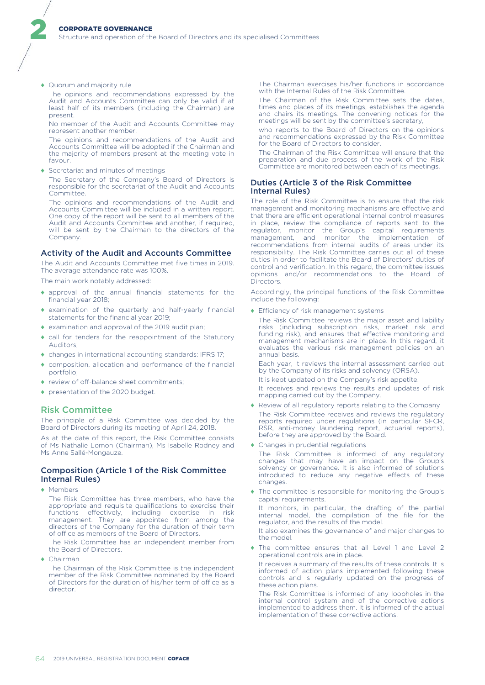♦ Quorum and majority rule

2

The opinions and recommendations expressed by the Audit and Accounts Committee can only be valid if at least half of its members (including the Chairman) are present.

No member of the Audit and Accounts Committee may represent another member.

The opinions and recommendations of the Audit and Accounts Committee will be adopted if the Chairman and the majority of members present at the meeting vote in favour.

♦ Secretariat and minutes of meetings

The Secretary of the Company's Board of Directors is responsible for the secretariat of the Audit and Accounts Committee.

The opinions and recommendations of the Audit and Accounts Committee will be included in a written report. One copy of the report will be sent to all members of the Audit and Accounts Committee and another, if required, will be sent by the Chairman to the directors of the Company.

### Activity of the Audit and Accounts Committee

The Audit and Accounts Committee met five times in 2019. The average attendance rate was 100%.

The main work notably addressed:

- approval of the annual financial statements for the financial year 2018;
- examination of the quarterly and half-yearly financial statements for the financial year 2019;
- ♦ examination and approval of the 2019 audit plan;
- call for tenders for the reappointment of the Statutory Auditors;
- ♦ changes in international accounting standards: IFRS 17;
- composition, allocation and performance of the financial portfolio;
- ♦ review of off-balance sheet commitments;
- ♦ presentation of the 2020 budget.

# Risk Committee

The principle of a Risk Committee was decided by the Board of Directors during its meeting of April 24, 2018.

As at the date of this report, the Risk Committee consists of Ms Nathalie Lomon (Chairman), Ms Isabelle Rodney and Ms Anne Sallé-Mongauze.

# Composition (Article 1 of the Risk Committee Internal Rules)

♦ Members

The Risk Committee has three members, who have the appropriate and requisite qualifications to exercise their functions effectively, including expertise in risk management. They are appointed from among the directors of the Company for the duration of their term of office as members of the Board of Directors.

The Risk Committee has an independent member from the Board of Directors.

♦ Chairman

The Chairman of the Risk Committee is the independent member of the Risk Committee nominated by the Board of Directors for the duration of his/her term of office as a director.

The Chairman exercises his/her functions in accordance with the Internal Rules of the Risk Committee.

The Chairman of the Risk Committee sets the dates, times and places of its meetings, establishes the agenda and chairs its meetings. The convening notices for the meetings will be sent by the committee's secretary,

who reports to the Board of Directors on the opinions and recommendations expressed by the Risk Committee for the Board of Directors to consider.

The Chairman of the Risk Committee will ensure that the preparation and due process of the work of the Risk Committee are monitored between each of its meetings.

### Duties (Article 3 of the Risk Committee Internal Rules)

The role of the Risk Committee is to ensure that the risk management and monitoring mechanisms are effective and that there are efficient operational internal control measures in place, review the compliance of reports sent to the regulator, monitor the Group's capital requirements management, and monitor the implementation of recommendations from internal audits of areas under its responsibility. The Risk Committee carries out all of these duties in order to facilitate the Board of Directors' duties of control and verification. In this regard, the committee issues opinions and/or recommendations to the Board of Directors.

Accordingly, the principal functions of the Risk Committee include the following:

♦ Efficiency of risk management systems

The Risk Committee reviews the major asset and liability risks (including subscription risks, market risk and funding risk), and ensures that effective monitoring and management mechanisms are in place. In this regard, it evaluates the various risk management policies on an annual basis.

Each year, it reviews the internal assessment carried out by the Company of its risks and solvency (ORSA).

It is kept updated on the Company's risk appetite.

It receives and reviews the results and updates of risk mapping carried out by the Company.

- ♦ Review of all regulatory reports relating to the Company The Risk Committee receives and reviews the regulatory reports required under regulations (in particular SFCR, RSR, anti-money laundering report, actuarial reports), before they are approved by the Board.
- ♦ Changes in prudential regulations

The Risk Committee is informed of any regulatory changes that may have an impact on the Group's solvency or governance. It is also informed of solutions introduced to reduce any negative effects of these changes.

♦ The committee is responsible for monitoring the Group's capital requirements.

It monitors, in particular, the drafting of the partial internal model, the compilation of the file for the regulator, and the results of the model.

It also examines the governance of and major changes to the model.

The committee ensures that all Level 1 and Level 2 operational controls are in place.

It receives a summary of the results of these controls. It is informed of action plans implemented following these controls and is regularly updated on the progress of these action plans.

The Risk Committee is informed of any loopholes in the internal control system and of the corrective actions implemented to address them. It is informed of the actual implementation of these corrective actions.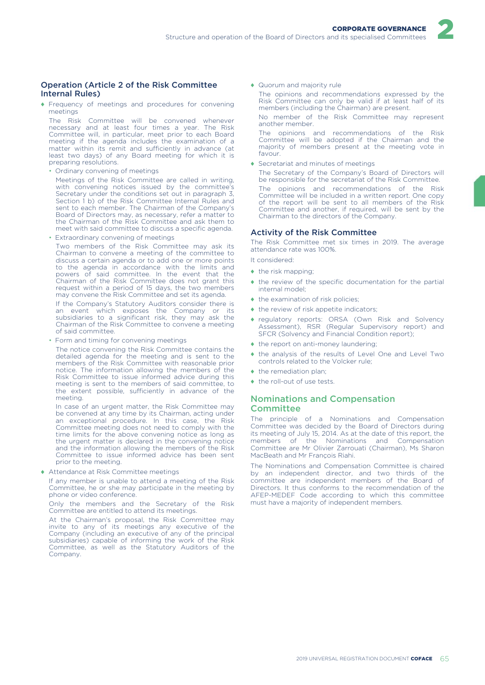# Operation (Article 2 of the Risk Committee Internal Rules)

♦ Frequency of meetings and procedures for convening meetings

The Risk Committee will be convened whenever necessary and at least four times a year. The Risk Committee will, in particular, meet prior to each Board meeting if the agenda includes the examination of a matter within its remit and sufficiently in advance (at least two days) of any Board meeting for which it is preparing resolutions.

• Ordinary convening of meetings

Meetings of the Risk Committee are called in writing, with convening notices issued by the committee's Secretary under the conditions set out in paragraph 3, Section 1 b) of the Risk Committee Internal Rules and sent to each member. The Chairman of the Company's Board of Directors may, as necessary, refer a matter to the Chairman of the Risk Committee and ask them to meet with said committee to discuss a specific agenda.

• Extraordinary convening of meetings

Two members of the Risk Committee may ask its Chairman to convene a meeting of the committee to discuss a certain agenda or to add one or more points to the agenda in accordance with the limits and powers of said committee. In the event that the Chairman of the Risk Committee does not grant this request within a period of 15 days, the two members may convene the Risk Committee and set its agenda.

If the Company's Statutory Auditors consider there is an event which exposes the Company or its subsidiaries to a significant risk, they may ask the Chairman of the Risk Committee to convene a meeting of said committee.

• Form and timing for convening meetings

The notice convening the Risk Committee contains the detailed agenda for the meeting and is sent to the members of the Risk Committee with reasonable prior notice. The information allowing the members of the Risk Committee to issue informed advice during this meeting is sent to the members of said committee, to the extent possible, sufficiently in advance of the meeting.

In case of an urgent matter, the Risk Committee may be convened at any time by its Chairman, acting under an exceptional procedure. In this case, the Risk Committee meeting does not need to comply with the time limits for the above convening notice as long as the urgent matter is declared in the convening notice and the information allowing the members of the Risk Committee to issue informed advice has been sent prior to the meeting.

♦ Attendance at Risk Committee meetings

If any member is unable to attend a meeting of the Risk Committee, he or she may participate in the meeting by phone or video conference.

Only the members and the Secretary of the Risk Committee are entitled to attend its meetings.

At the Chairman's proposal, the Risk Committee may invite to any of its meetings any executive of the Company (including an executive of any of the principal subsidiaries) capable of informing the work of the Risk Committee, as well as the Statutory Auditors of the Company.

♦ Quorum and majority rule

The opinions and recommendations expressed by the Risk Committee can only be valid if at least half of its members (including the Chairman) are present.

2

No member of the Risk Committee may represent another member.

The opinions and recommendations of the Risk Committee will be adopted if the Chairman and the majority of members present at the meeting vote in favour.

♦ Secretariat and minutes of meetings

The Secretary of the Company's Board of Directors will be responsible for the secretariat of the Risk Committee.

The opinions and recommendations of the Risk Committee will be included in a written report. One copy of the report will be sent to all members of the Risk Committee and another, if required, will be sent by the Chairman to the directors of the Company.

# Activity of the Risk Committee

The Risk Committee met six times in 2019. The average attendance rate was 100%.

It considered:

- $\bullet$  the risk mapping:
- $\bullet$  the review of the specific documentation for the partial internal model;
- $\bullet$  the examination of risk policies;
- ♦ the review of risk appetite indicators;
- ♦ regulatory reports: ORSA (Own Risk and Solvency Assessment), RSR (Regular Supervisory report) and SFCR (Solvency and Financial Condition report);
- ♦ the report on anti-money laundering;
- ♦ the analysis of the results of Level One and Level Two controls related to the Volcker rule;
- the remediation plan;
- ♦ the roll-out of use tests.

# Nominations and Compensation **Committee**

The principle of a Nominations and Compensation Committee was decided by the Board of Directors during its meeting of July 15, 2014. As at the date of this report, the members of the Nominations and Compensation Committee are Mr Olivier Zarrouati (Chairman), Ms Sharon MacBeath and Mr François Riahi.

The Nominations and Compensation Committee is chaired by an independent director, and two thirds of the committee are independent members of the Board of Directors. It thus conforms to the recommendation of the AFEP-MEDEF Code according to which this committee must have a majority of independent members.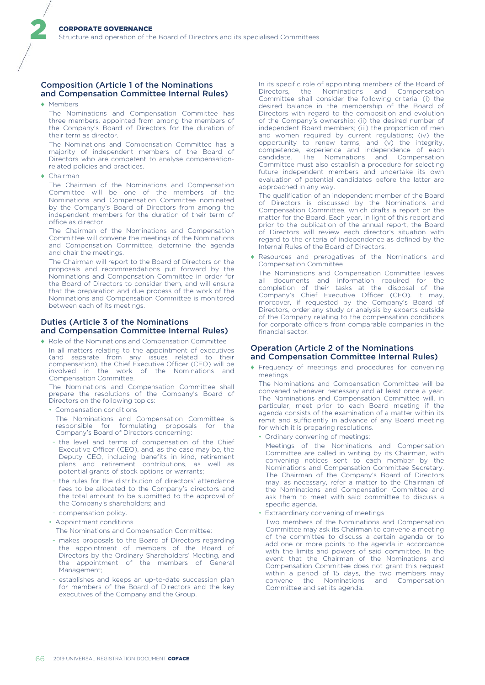# Composition (Article 1 of the Nominations and Compensation Committee Internal Rules)

♦ Members

2

The Nominations and Compensation Committee has three members, appointed from among the members of the Company's Board of Directors for the duration of their term as director.

The Nominations and Compensation Committee has a majority of independent members of the Board of Directors who are competent to analyse compensationrelated policies and practices.

♦ Chairman

The Chairman of the Nominations and Compensation Committee will be one of the members of the Nominations and Compensation Committee nominated by the Company's Board of Directors from among the independent members for the duration of their term of office as director.

The Chairman of the Nominations and Compensation Committee will convene the meetings of the Nominations and Compensation Committee, determine the agenda and chair the meetings.

The Chairman will report to the Board of Directors on the proposals and recommendations put forward by the Nominations and Compensation Committee in order for the Board of Directors to consider them, and will ensure that the preparation and due process of the work of the Nominations and Compensation Committee is monitored between each of its meetings.

# Duties (Article 3 of the Nominations and Compensation Committee Internal Rules)

♦ Role of the Nominations and Compensation Committee

In all matters relating to the appointment of executives (and separate from any issues related to their compensation), the Chief Executive Officer (CEO) will be involved in the work of the Nominations and Compensation Committee.

The Nominations and Compensation Committee shall prepare the resolutions of the Company's Board of Directors on the following topics:

• Compensation conditions

The Nominations and Compensation Committee is responsible for formulating proposals for the Company's Board of Directors concerning:

- the level and terms of compensation of the Chief Executive Officer (CEO), and, as the case may be, the Deputy CEO, including benefits in kind, retirement plans and retirement contributions, as well as potential grants of stock options or warrants;
- the rules for the distribution of directors' attendance fees to be allocated to the Company's directors and the total amount to be submitted to the approval of the Company's shareholders; and
- compensation policy.
- Appointment conditions
- The Nominations and Compensation Committee:
- makes proposals to the Board of Directors regarding the appointment of members of the Board of Directors by the Ordinary Shareholders' Meeting, and the appointment of the members of General Management;
- establishes and keeps an up-to-date succession plan for members of the Board of Directors and the key executives of the Company and the Group.

In its specific role of appointing members of the Board of Directors, the Nominations and Compensation Directors, the Nominations Committee shall consider the following criteria: (i) the desired balance in the membership of the Board of Directors with regard to the composition and evolution of the Company's ownership; (ii) the desired number of independent Board members; (iii) the proportion of men and women required by current regulations; (iv) the opportunity to renew terms; and (v) the integrity, competence, experience and independence of each candidate. The Nominations and Compensation Committee must also establish a procedure for selecting future independent members and undertake its own evaluation of potential candidates before the latter are approached in any way.

The qualification of an independent member of the Board of Directors is discussed by the Nominations and Compensation Committee, which drafts a report on the matter for the Board. Each year, in light of this report and prior to the publication of the annual report, the Board of Directors will review each director's situation with regard to the criteria of independence as defined by the Internal Rules of the Board of Directors.

♦ Resources and prerogatives of the Nominations and Compensation Committee

The Nominations and Compensation Committee leaves all documents and information required for the completion of their tasks at the disposal of the Company's Chief Executive Officer (CEO). It may, moreover, if requested by the Company's Board of Directors, order any study or analysis by experts outside of the Company relating to the compensation conditions for corporate officers from comparable companies in the financial sector.

# Operation (Article 2 of the Nominations and Compensation Committee Internal Rules)

♦ Frequency of meetings and procedures for convening meetings

The Nominations and Compensation Committee will be convened whenever necessary and at least once a year. The Nominations and Compensation Committee will, in particular, meet prior to each Board meeting if the agenda consists of the examination of a matter within its remit and sufficiently in advance of any Board meeting for which it is preparing resolutions.

• Ordinary convening of meetings:

Meetings of the Nominations and Compensation Committee are called in writing by its Chairman, with convening notices sent to each member by the Nominations and Compensation Committee Secretary. The Chairman of the Company's Board of Directors may, as necessary, refer a matter to the Chairman of the Nominations and Compensation Committee and ask them to meet with said committee to discuss a specific agenda.

• Extraordinary convening of meetings

Two members of the Nominations and Compensation Committee may ask its Chairman to convene a meeting of the committee to discuss a certain agenda or to add one or more points to the agenda in accordance with the limits and powers of said committee. In the event that the Chairman of the Nominations and Compensation Committee does not grant this request within a period of 15 days, the two members may<br>convene the Nominations and Compensation convene the Nominations and Compensation Committee and set its agenda.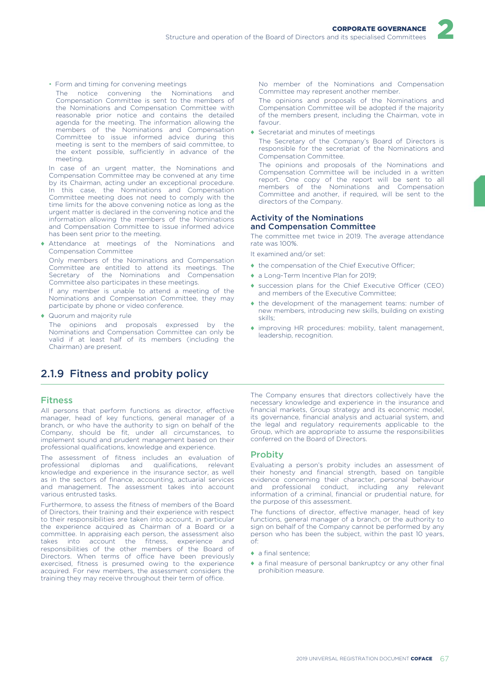

• Form and timing for convening meetings

The notice convening the Nominations and Compensation Committee is sent to the members of the Nominations and Compensation Committee with reasonable prior notice and contains the detailed agenda for the meeting. The information allowing the members of the Nominations and Compensation Committee to issue informed advice during this meeting is sent to the members of said committee, to the extent possible, sufficiently in advance of the meeting.

In case of an urgent matter, the Nominations and Compensation Committee may be convened at any time by its Chairman, acting under an exceptional procedure. In this case, the Nominations and Compensation Committee meeting does not need to comply with the time limits for the above convening notice as long as the urgent matter is declared in the convening notice and the information allowing the members of the Nominations and Compensation Committee to issue informed advice has been sent prior to the meeting.

♦ Attendance at meetings of the Nominations and Compensation Committee

Only members of the Nominations and Compensation Committee are entitled to attend its meetings. The Secretary of the Nominations and Compensation Committee also participates in these meetings.

If any member is unable to attend a meeting of the Nominations and Compensation Committee, they may participate by phone or video conference.

♦ Quorum and majority rule

The opinions and proposals expressed by the Nominations and Compensation Committee can only be valid if at least half of its members (including the Chairman) are present.

# 2.1.9 Fitness and probity policy

# **Fitnacc**

All persons that perform functions as director, effective manager, head of key functions, general manager of a branch, or who have the authority to sign on behalf of the Company, should be fit, under all circumstances, to implement sound and prudent management based on their professional qualifications, knowledge and experience.

The assessment of fitness includes an evaluation of professional diplomas and qualifications, relevant knowledge and experience in the insurance sector, as well as in the sectors of finance, accounting, actuarial services and management. The assessment takes into account various entrusted tasks.

Furthermore, to assess the fitness of members of the Board of Directors, their training and their experience with respect to their responsibilities are taken into account, in particular the experience acquired as Chairman of a Board or a committee. In appraising each person, the assessment also takes into account the fitness, experience and responsibilities of the other members of the Board of Directors. When terms of office have been previously exercised, fitness is presumed owing to the experience acquired. For new members, the assessment considers the training they may receive throughout their term of office.

No member of the Nominations and Compensation Committee may represent another member.

The opinions and proposals of the Nominations and Compensation Committee will be adopted if the majority of the members present, including the Chairman, vote in favour.

♦ Secretariat and minutes of meetings

The Secretary of the Company's Board of Directors is responsible for the secretariat of the Nominations and Compensation Committee.

The opinions and proposals of the Nominations and Compensation Committee will be included in a written report. One copy of the report will be sent to all members of the Nominations and Compensation Committee and another, if required, will be sent to the directors of the Company.

# Activity of the Nominations and Compensation Committee

The committee met twice in 2019. The average attendance rate was 100%.

It examined and/or set:

- ♦ the compensation of the Chief Executive Officer;
- ♦ a Long-Term Incentive Plan for 2019;
- ♦ succession plans for the Chief Executive Officer (CEO) and members of the Executive Committee;
- ♦ the development of the management teams: number of new members, introducing new skills, building on existing skills;
- ♦ improving HR procedures: mobility, talent management, leadership, recognition.

The Company ensures that directors collectively have the necessary knowledge and experience in the insurance and financial markets, Group strategy and its economic model, its governance, financial analysis and actuarial system, and the legal and regulatory requirements applicable to the Group, which are appropriate to assume the responsibilities conferred on the Board of Directors.

### **Probity**

Evaluating a person's probity includes an assessment of their honesty and financial strength, based on tangible evidence concerning their character, personal behaviour and professional conduct including any relevant information of a criminal, financial or prudential nature, for the purpose of this assessment.

The functions of director, effective manager, head of key functions, general manager of a branch, or the authority to sign on behalf of the Company cannot be performed by any person who has been the subject, within the past 10 years, of:

- ♦ a final sentence;
- ♦ a final measure of personal bankruptcy or any other final prohibition measure.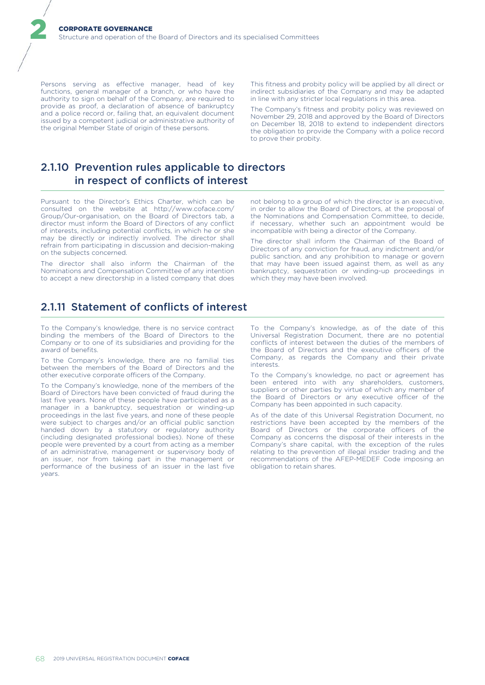Persons serving as effective manager, head of key functions, general manager of a branch, or who have the authority to sign on behalf of the Company, are required to provide as proof, a declaration of absence of bankruptcy and a police record or, failing that, an equivalent document issued by a competent judicial or administrative authority of the original Member State of origin of these persons.

2

This fitness and probity policy will be applied by all direct or indirect subsidiaries of the Company and may be adapted in line with any stricter local regulations in this area.

The Company's fitness and probity policy was reviewed on November 29, 2018 and approved by the Board of Directors on December 18, 2018 to extend to independent directors the obligation to provide the Company with a police record to prove their probity.

# 2.1.10 Prevention rules applicable to directors in respect of conflicts of interest

Pursuant to the Director's Ethics Charter, which can be consulted on the website at http://www.coface.com/ Group/Our-organisation, on the Board of Directors tab, a director must inform the Board of Directors of any conflict of interests, including potential conflicts, in which he or she may be directly or indirectly involved. The director shall refrain from participating in discussion and decision-making on the subjects concerned.

The director shall also inform the Chairman of the Nominations and Compensation Committee of any intention to accept a new directorship in a listed company that does not belong to a group of which the director is an executive, in order to allow the Board of Directors, at the proposal of the Nominations and Compensation Committee, to decide, if necessary, whether such an appointment would be incompatible with being a director of the Company.

The director shall inform the Chairman of the Board of Directors of any conviction for fraud, any indictment and/or public sanction, and any prohibition to manage or govern that may have been issued against them, as well as any bankruptcy, sequestration or winding-up proceedings in which they may have been involved.

# 2.1.11 Statement of conflicts of interest

To the Company's knowledge, there is no service contract binding the members of the Board of Directors to the Company or to one of its subsidiaries and providing for the award of benefits.

To the Company's knowledge, there are no familial ties between the members of the Board of Directors and the other executive corporate officers of the Company.

To the Company's knowledge, none of the members of the Board of Directors have been convicted of fraud during the last five years. None of these people have participated as a manager in a bankruptcy, sequestration or winding-up proceedings in the last five years, and none of these people were subject to charges and/or an official public sanction handed down by a statutory or regulatory authority (including designated professional bodies). None of these people were prevented by a court from acting as a member of an administrative, management or supervisory body of an issuer, nor from taking part in the management or performance of the business of an issuer in the last five years.

To the Company's knowledge, as of the date of this Universal Registration Document, there are no potential conflicts of interest between the duties of the members of the Board of Directors and the executive officers of the Company, as regards the Company and their private interests.

To the Company's knowledge, no pact or agreement has been entered into with any shareholders, customers, suppliers or other parties by virtue of which any member of the Board of Directors or any executive officer of the Company has been appointed in such capacity.

As of the date of this Universal Registration Document, no restrictions have been accepted by the members of the Board of Directors or the corporate officers of the Company as concerns the disposal of their interests in the Company's share capital, with the exception of the rules relating to the prevention of illegal insider trading and the recommendations of the AFEP-MEDEF Code imposing an obligation to retain shares.